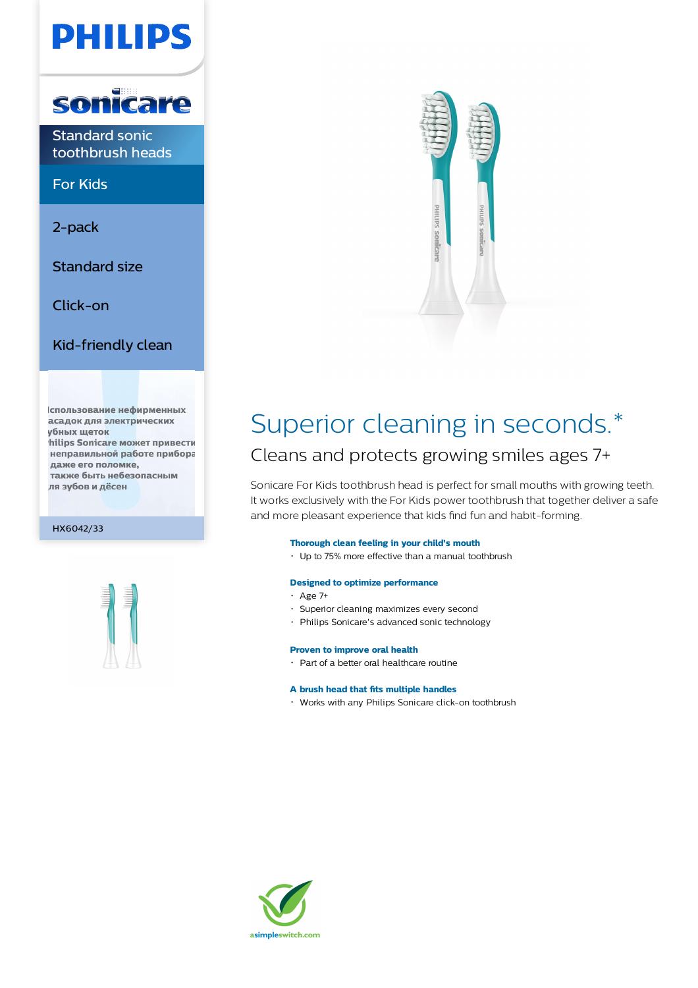# PHILIPS



Standard sonic toothbrush heads

For Kids

2-pack

Standard size

Click-on

Kid-friendly clean

спользование нефирменных асадок для электрических **убных щеток** hilips Sonicare может привести неправильной работе прибора даже его поломке, также быть небезопасным ля зубов и дёсен

HX6042/33





### Superior cleaning in seconds.\* Cleans and protects growing smiles ages 7+

Sonicare For Kids toothbrush head is perfect for small mouths with growing teeth. It works exclusively with the For Kids power toothbrush that together deliver a safe and more pleasant experience that kids find fun and habit-forming.

### **Thorough clean feeling in your child's mouth**

Up to 75% more effective than a manual toothbrush

#### **Designed to optimize performance**

- $\cdot$  Age 7+
- Superior cleaning maximizes every second
- Philips Sonicare's advanced sonic technology

#### **Proven to improve oral health**

Part of a better oral healthcare routine

#### **A brush head that fits multiple handles**

Works with any Philips Sonicare click-on toothbrush